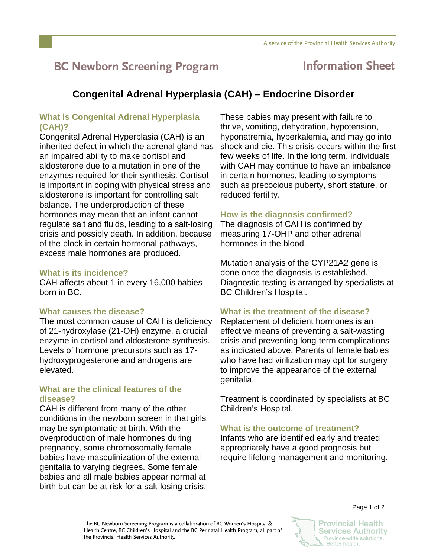# **BC Newborn Screening Program**

# **Information Sheet**

# **Congenital Adrenal Hyperplasia (CAH) – Endocrine Disorder**

### **What is Congenital Adrenal Hyperplasia (CAH)?**

Congenital Adrenal Hyperplasia (CAH) is an inherited defect in which the adrenal gland has an impaired ability to make cortisol and aldosterone due to a mutation in one of the enzymes required for their synthesis. Cortisol is important in coping with physical stress and aldosterone is important for controlling salt balance. The underproduction of these hormones may mean that an infant cannot regulate salt and fluids, leading to a salt-losing crisis and possibly death. In addition, because of the block in certain hormonal pathways, excess male hormones are produced.

#### **What is its incidence?**

CAH affects about 1 in every 16,000 babies born in BC.

#### **What causes the disease?**

The most common cause of CAH is deficiency of 21-hydroxylase (21-OH) enzyme, a crucial enzyme in cortisol and aldosterone synthesis. Levels of hormone precursors such as 17 hydroxyprogesterone and androgens are elevated.

#### **What are the clinical features of the disease?**

CAH is different from many of the other conditions in the newborn screen in that girls may be symptomatic at birth. With the overproduction of male hormones during pregnancy, some chromosomally female babies have masculinization of the external genitalia to varying degrees. Some female babies and all male babies appear normal at birth but can be at risk for a salt-losing crisis.

These babies may present with failure to thrive, vomiting, dehydration, hypotension, hyponatremia, hyperkalemia, and may go into shock and die. This crisis occurs within the first few weeks of life. In the long term, individuals with CAH may continue to have an imbalance in certain hormones, leading to symptoms such as precocious puberty, short stature, or reduced fertility.

### **How is the diagnosis confirmed?**

The diagnosis of CAH is confirmed by measuring 17-OHP and other adrenal hormones in the blood.

Mutation analysis of the CYP21A2 gene is done once the diagnosis is established. Diagnostic testing is arranged by specialists at BC Children's Hospital.

#### **What is the treatment of the disease?**

Replacement of deficient hormones is an effective means of preventing a salt-wasting crisis and preventing long-term complications as indicated above. Parents of female babies who have had virilization may opt for surgery to improve the appearance of the external genitalia.

Treatment is coordinated by specialists at BC Children's Hospital.

#### **What is the outcome of treatment?**

Infants who are identified early and treated appropriately have a good prognosis but require lifelong management and monitoring.

The BC Newborn Screening Program is a collaboration of BC Women's Hospital & Health Centre, BC Children's Hospital and the BC Perinatal Health Program, all part of the Provincial Health Services Authority.